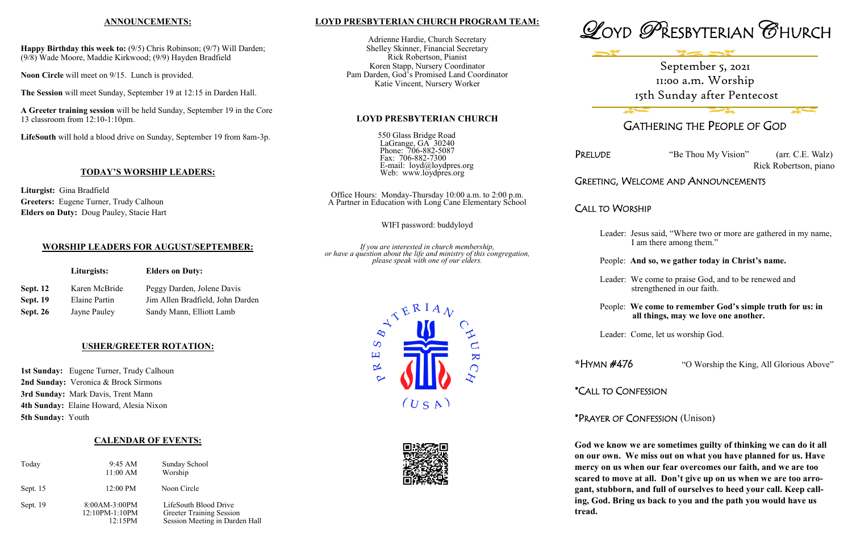## **LOYD PRESBYTERIAN CHURCH PROGRAM TEAM:**

Adrienne Hardie, Church Secretary Shelley Skinner, Financial Secretary Rick Robertson, Pianist Koren Stapp, Nursery Coordinator Pam Darden, God's Promised Land Coordinator Katie Vincent, Nursery Worker

LaGrange, GA<sup>3</sup> 30240 Phone: 706-882-5087 Fax: 706-882-7300





**LOYD PRESBYTERIAN CHURCH**

550 Glass Bridge Road

E-mail: loyd@loydpres.org

Web: www.loydpres.org

Office Hours: Monday-Thursday 10:00 a.m. to 2:00 p.m. A Partner in Education with Long Cane Elementary School

WIFI password: buddyloyd

*If you are interested in church membership, or have a question about the life and ministry of this congregation, please speak with one of our elders.*







## GATHERING THE PEOPLE OF GOD

PRELUDE "Be Thou My Vision" (arr. C.E. Walz)

Rick Robertson, piano

## GREETING, WELCOME AND ANNOUNCEMENTS

CALL TO WORSHIP

- Leader: Jesus said, "Where two or more are gathered in my name, I am there among them."
- People: **And so, we gather today in Christ's name.**
- Leader: We come to praise God, and to be renewed and strengthened in our faith.
- People: **We come to remember God's simple truth for us: in all things, may we love one another.**
- Leader: Come, let us worship God.
- **\***HYMN #476 "O Worship the King, All Glorious Above"
	-
- \*PRAYER OF CONFESSION (Unison)

\*CALL TO CONFESSION

1st Sunday: Eugene Turner, Trudy Calhoun **2nd Sunday:** Veronica & Brock Sirmons **3rd Sunday:** Mark Davis, Trent Mann **4th Sunday:** Elaine Howard, Alesia Nixon **5th Sunday:** Youth

> **God we know we are sometimes guilty of thinking we can do it all on our own. We miss out on what you have planned for us. Have mercy on us when our fear overcomes our faith, and we are too scared to move at all. Don't give up on us when we are too arrogant, stubborn, and full of ourselves to heed your call. Keep calling, God. Bring us back to you and the path you would have us tread.**

## **ANNOUNCEMENTS:**

**Happy Birthday this week to:** (9/5) Chris Robinson; (9/7) Will Darden; (9/8) Wade Moore, Maddie Kirkwood; (9/9) Hayden Bradfield

**Noon Circle** will meet on 9/15. Lunch is provided.

**The Session** will meet Sunday, September 19 at 12:15 in Darden Hall.

**A Greeter training session** will be held Sunday, September 19 in the Core 13 classroom from 12:10-1:10pm.

**LifeSouth** will hold a blood drive on Sunday, September 19 from 8am-3p.

## **TODAY'S WORSHIP LEADERS:**

**Liturgist:** Gina Bradfield **Greeters:** Eugene Turner, Trudy Calhoun **Elders on Duty:** Doug Pauley, Stacie Hart

## **WORSHIP LEADERS FOR AUGUST/SEPTEMBER:**

|                 | Liturgists:   | <b>Elders on Duty:</b>           |  |
|-----------------|---------------|----------------------------------|--|
| <b>Sept. 12</b> | Karen McBride | Peggy Darden, Jolene Davis       |  |
| <b>Sept. 19</b> | Elaine Partin | Jim Allen Bradfield, John Darden |  |
| Sept. 26        | Jayne Pauley  | Sandy Mann, Elliott Lamb         |  |

## **USHER/GREETER ROTATION:**

## **CALENDAR OF EVENTS:**

| Today      | 9:45 AM<br>$11:00$ AM                      | Sunday School<br>Worship                                                                   |
|------------|--------------------------------------------|--------------------------------------------------------------------------------------------|
| Sept. $15$ | 12:00 PM                                   | Noon Circle                                                                                |
| Sept. 19   | 8:00AM-3:00PM<br>12:10PM-1:10PM<br>12:15PM | LifeSouth Blood Drive<br><b>Greeter Training Session</b><br>Session Meeting in Darden Hall |

# September 5, 2021 11:00 a.m. Worship 15th Sunday after Pentecost